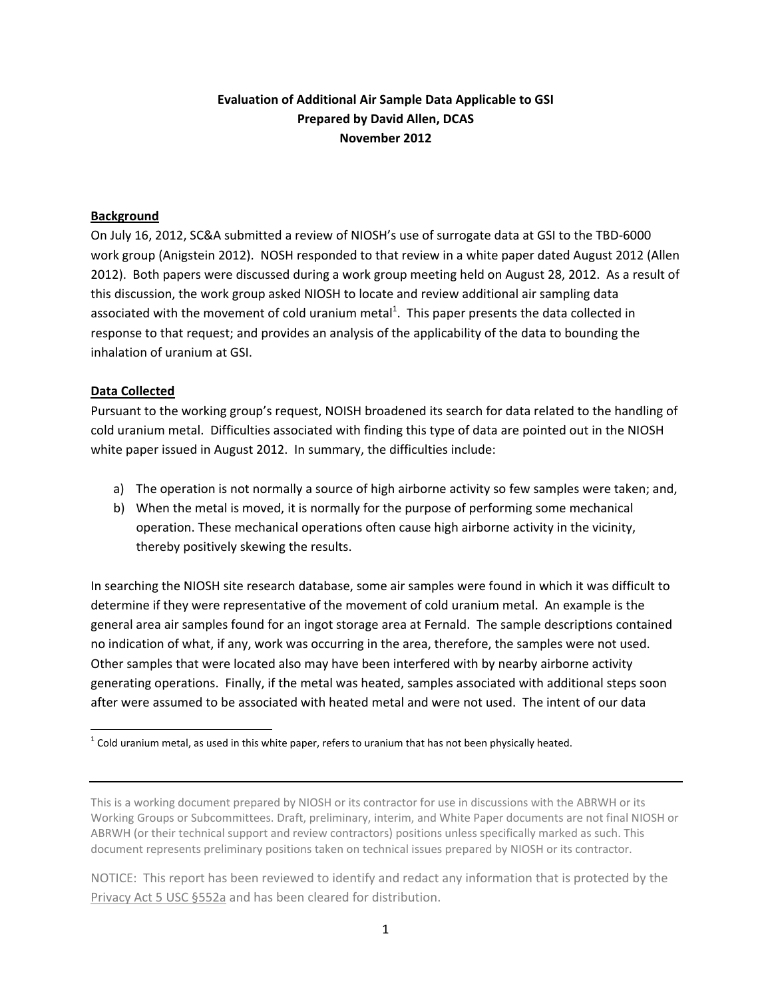# **Evaluation of Additional Air Sample Data Applicable to GSI Prepared by David Allen, DCAS November 2012**

### **Background**

 On July 16, 2012, SC&A submitted a review of NIOSH's use of surrogate data at GSI to the TBD‐6000 work group (Anigstein 2012). NOSH responded to that review in a white paper dated August 2012 (Allen 2012). Both papers were discussed during a work group meeting held on August 28, 2012. As a result of this discussion, the work group asked NIOSH to locate and review additional air sampling data associated with the movement of cold uranium metal<sup>1</sup>. This paper presents the data collected in response to that request; and provides an analysis of the applicability of the data to bounding the inhalation of uranium at GSI.

## **Data Collected**

 Pursuant to the working group's request, NOISH broadened its search for data related to the handling of cold uranium metal. Difficulties associated with finding this type of data are pointed out in the NIOSH white paper issued in August 2012. In summary, the difficulties include:

- a) The operation is not normally a source of high airborne activity so few samples were taken; and,
- b) When the metal is moved, it is normally for the purpose of performing some mechanical operation. These mechanical operations often cause high airborne activity in the vicinity, thereby positively skewing the results.

 In searching the NIOSH site research database, some air samples were found in which it was difficult to determine if they were representative of the movement of cold uranium metal. An example is the general area air samples found for an ingot storage area at Fernald. The sample descriptions contained no indication of what, if any, work was occurring in the area, therefore, the samples were not used. Other samples that were located also may have been interfered with by nearby airborne activity generating operations. Finally, if the metal was heated, samples associated with additional steps soon after were assumed to be associated with heated metal and were not used. The intent of our data

  $^{1}$  Cold uranium metal, as used in this white paper, refers to uranium that has not been physically heated.

 This is a working document prepared by NIOSH or its contractor for use in discussions with the ABRWH or its Working Groups or Subcommittees. Draft, preliminary, interim, and White Paper documents are not final NIOSH or ABRWH (or their technical support and review contractors) positions unless specifically marked as such. This document represents preliminary positions taken on technical issues prepared by NIOSH or its contractor.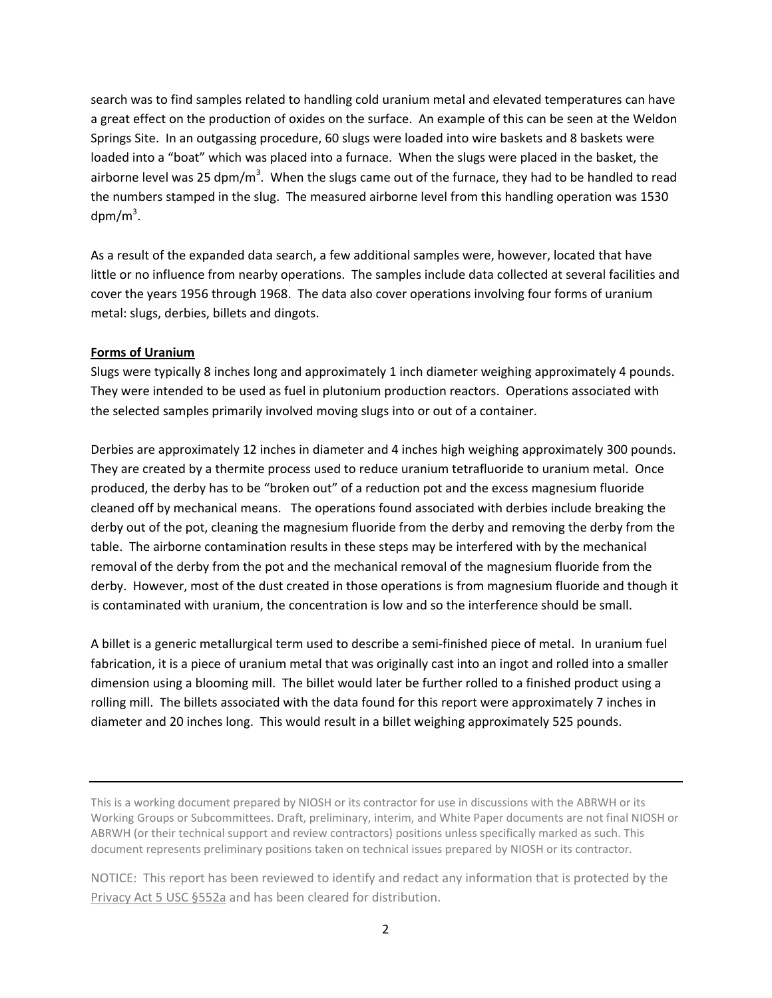search was to find samples related to handling cold uranium metal and elevated temperatures can have a great effect on the production of oxides on the surface. An example of this can be seen at the Weldon Springs Site. In an outgassing procedure, 60 slugs were loaded into wire baskets and 8 baskets were loaded into a "boat" which was placed into a furnace. When the slugs were placed in the basket, the airborne level was 25 dpm/m<sup>3</sup>. When the slugs came out of the furnace, they had to be handled to read the numbers stamped in the slug. The measured airborne level from this handling operation was 1530  $dpm/m<sup>3</sup>$ .

 As a result of the expanded data search, a few additional samples were, however, located that have little or no influence from nearby operations. The samples include data collected at several facilities and cover the years 1956 through 1968. The data also cover operations involving four forms of uranium metal: slugs, derbies, billets and dingots.

### **Forms of Uranium**

 Slugs were typically 8 inches long and approximately 1 inch diameter weighing approximately 4 pounds. They were intended to be used as fuel in plutonium production reactors. Operations associated with the selected samples primarily involved moving slugs into or out of a container.

 Derbies are approximately 12 inches in diameter and 4 inches high weighing approximately 300 pounds. They are created by a thermite process used to reduce uranium tetrafluoride to uranium metal. Once produced, the derby has to be "broken out" of a reduction pot and the excess magnesium fluoride cleaned off by mechanical means. The operations found associated with derbies include breaking the derby out of the pot, cleaning the magnesium fluoride from the derby and removing the derby from the table. The airborne contamination results in these steps may be interfered with by the mechanical removal of the derby from the pot and the mechanical removal of the magnesium fluoride from the derby. However, most of the dust created in those operations is from magnesium fluoride and though it is contaminated with uranium, the concentration is low and so the interference should be small.

 A billet is a generic metallurgical term used to describe a semi‐finished piece of metal. In uranium fuel fabrication, it is a piece of uranium metal that was originally cast into an ingot and rolled into a smaller dimension using a blooming mill. The billet would later be further rolled to a finished product using a rolling mill. The billets associated with the data found for this report were approximately 7 inches in diameter and 20 inches long. This would result in a billet weighing approximately 525 pounds.

 This is a working document prepared by NIOSH or its contractor for use in discussions with the ABRWH or its Working Groups or Subcommittees. Draft, preliminary, interim, and White Paper documents are not final NIOSH or ABRWH (or their technical support and review contractors) positions unless specifically marked as such. This document represents preliminary positions taken on technical issues prepared by NIOSH or its contractor.

 NOTICE: This report has been reviewed to identify and redact any information that is protected by the Privacy Act 5 USC §552a and has been cleared for distribution.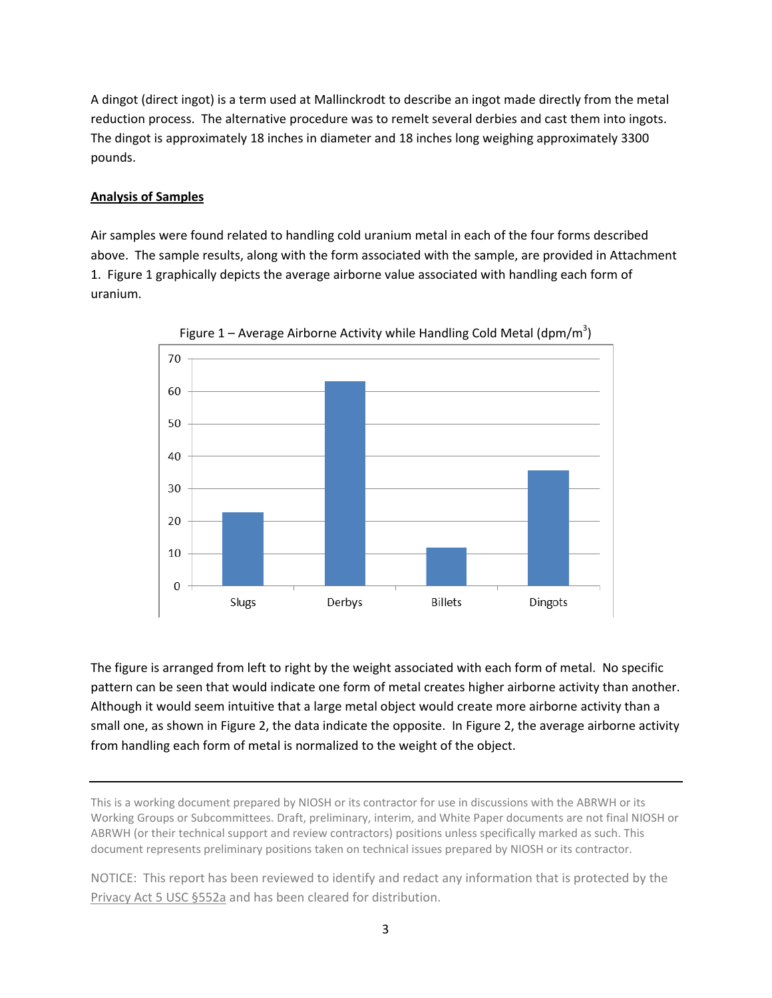A dingot (direct ingot) is a term used at Mallinckrodt to describe an ingot made directly from the metal reduction process. The alternative procedure was to remelt several derbies and cast them into ingots. The dingot is approximately 18 inches in diameter and 18 inches long weighing approximately 3300 pounds.

# **Analysis of Samples**

 Air samples were found related to handling cold uranium metal in each of the four forms described above. The sample results, along with the form associated with the sample, are provided in Attachment 1. Figure 1 graphically depicts the average airborne value associated with handling each form of uranium.





 The figure is arranged from left to right by the weight associated with each form of metal. No specific pattern can be seen that would indicate one form of metal creates higher airborne activity than another. Although it would seem intuitive that a large metal object would create more airborne activity than a small one, as shown in Figure 2, the data indicate the opposite. In Figure 2, the average airborne activity from handling each form of metal is normalized to the weight of the object.

 This is a working document prepared by NIOSH or its contractor for use in discussions with the ABRWH or its Working Groups or Subcommittees. Draft, preliminary, interim, and White Paper documents are not final NIOSH or ABRWH (or their technical support and review contractors) positions unless specifically marked as such. This document represents preliminary positions taken on technical issues prepared by NIOSH or its contractor.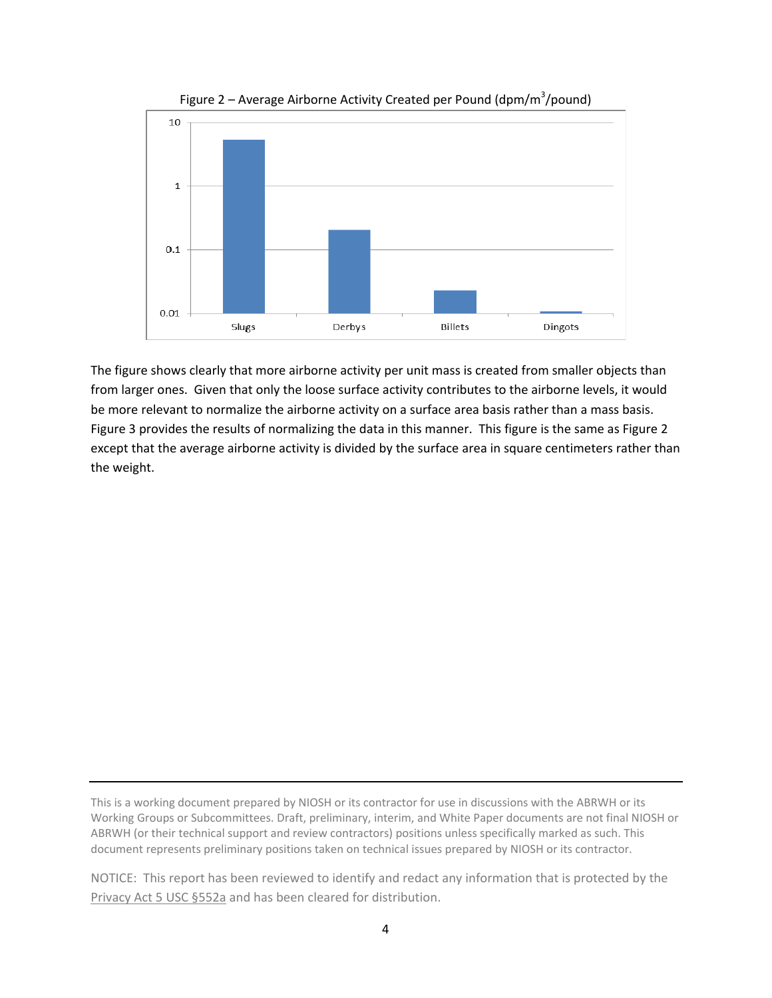

Figure 2 – Average Airborne Activity Created per Pound (dpm/m $3/$ pound)

 The figure shows clearly that more airborne activity per unit mass is created from smaller objects than from larger ones. Given that only the loose surface activity contributes to the airborne levels, it would be more relevant to normalize the airborne activity on a surface area basis rather than a mass basis. Figure 3 provides the results of normalizing the data in this manner. This figure is the same as Figure 2 except that the average airborne activity is divided by the surface area in square centimeters rather than the weight.

 This is a working document prepared by NIOSH or its contractor for use in discussions with the ABRWH or its Working Groups or Subcommittees. Draft, preliminary, interim, and White Paper documents are not final NIOSH or ABRWH (or their technical support and review contractors) positions unless specifically marked as such. This document represents preliminary positions taken on technical issues prepared by NIOSH or its contractor.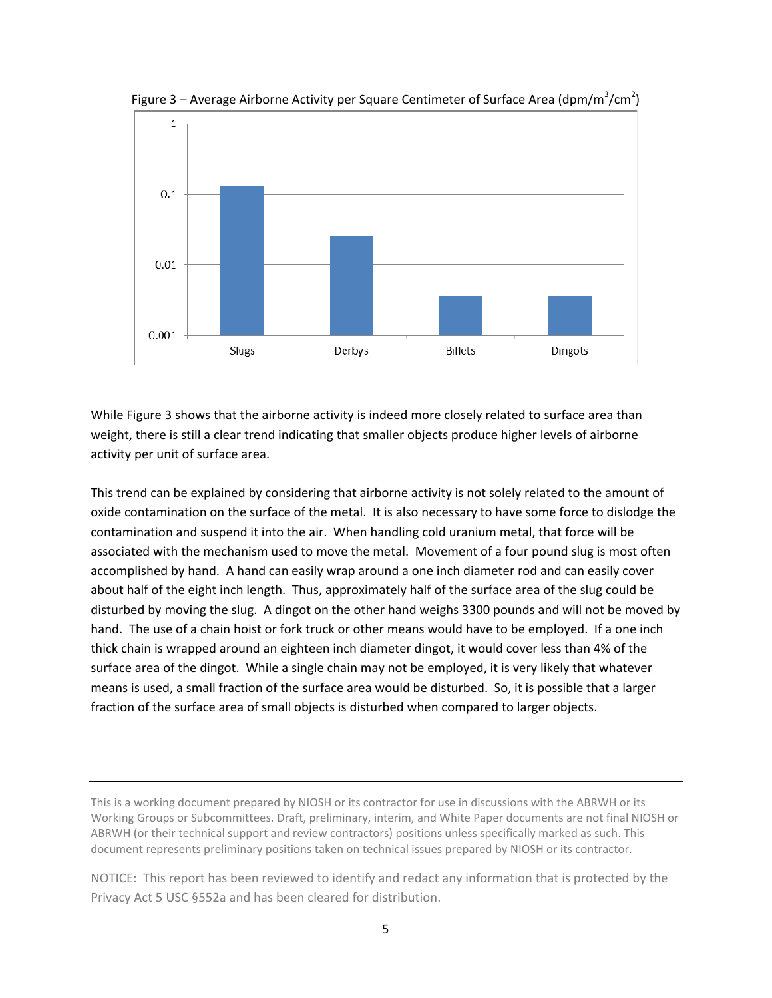

Figure 3 – Average Airborne Activity per Square Centimeter of Surface Area (dpm/m<sup>3</sup>/cm<sup>2</sup>)

 While Figure 3 shows that the airborne activity is indeed more closely related to surface area than weight, there is still a clear trend indicating that smaller objects produce higher levels of airborne activity per unit of surface area.

 This trend can be explained by considering that airborne activity is not solely related to the amount of oxide contamination on the surface of the metal. It is also necessary to have some force to dislodge the contamination and suspend it into the air. When handling cold uranium metal, that force will be associated with the mechanism used to move the metal. Movement of a four pound slug is most often accomplished by hand. A hand can easily wrap around a one inch diameter rod and can easily cover about half of the eight inch length. Thus, approximately half of the surface area of the slug could be disturbed by moving the slug. A dingot on the other hand weighs 3300 pounds and will not be moved by hand. The use of a chain hoist or fork truck or other means would have to be employed. If a one inch thick chain is wrapped around an eighteen inch diameter dingot, it would cover less than 4% of the surface area of the dingot. While a single chain may not be employed, it is very likely that whatever means is used, a small fraction of the surface area would be disturbed. So, it is possible that a larger fraction of the surface area of small objects is disturbed when compared to larger objects.

 This is a working document prepared by NIOSH or its contractor for use in discussions with the ABRWH or its Working Groups or Subcommittees. Draft, preliminary, interim, and White Paper documents are not final NIOSH or ABRWH (or their technical support and review contractors) positions unless specifically marked as such. This document represents preliminary positions taken on technical issues prepared by NIOSH or its contractor.

 NOTICE: This report has been reviewed to identify and redact any information that is protected by the Privacy Act 5 USC §552a and has been cleared for distribution.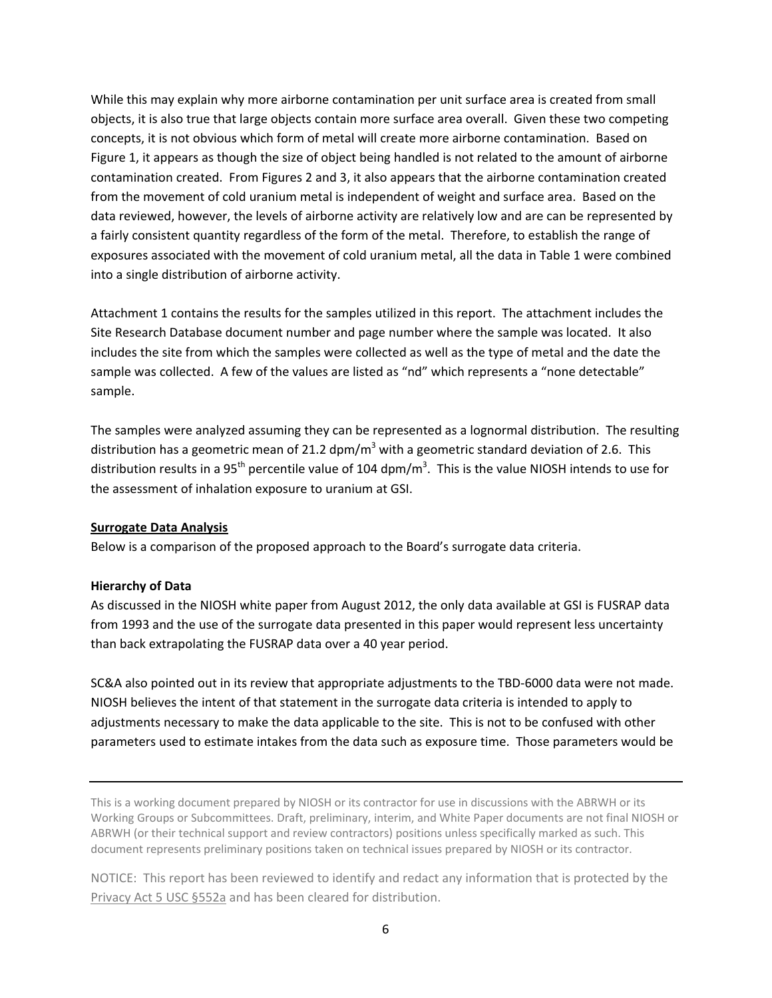While this may explain why more airborne contamination per unit surface area is created from small objects, it is also true that large objects contain more surface area overall. Given these two competing concepts, it is not obvious which form of metal will create more airborne contamination. Based on Figure 1, it appears as though the size of object being handled is not related to the amount of airborne contamination created. From Figures 2 and 3, it also appears that the airborne contamination created from the movement of cold uranium metal is independent of weight and surface area. Based on the data reviewed, however, the levels of airborne activity are relatively low and are can be represented by a fairly consistent quantity regardless of the form of the metal. Therefore, to establish the range of exposures associated with the movement of cold uranium metal, all the data in Table 1 were combined into a single distribution of airborne activity.

 Attachment 1 contains the results for the samples utilized in this report. The attachment includes the Site Research Database document number and page number where the sample was located. It also includes the site from which the samples were collected as well as the type of metal and the date the sample was collected. A few of the values are listed as "nd" which represents a "none detectable" sample.

 The samples were analyzed assuming they can be represented as a lognormal distribution. The resulting distribution has a geometric mean of 21.2 dpm/m<sup>3</sup> with a geometric standard deviation of 2.6. This distribution results in a 95<sup>th</sup> percentile value of 104 dpm/m<sup>3</sup>. This is the value NIOSH intends to use for the assessment of inhalation exposure to uranium at GSI.

## **Surrogate Data Analysis**

Below is a comparison of the proposed approach to the Board's surrogate data criteria.

### **Hierarchy of Data**

 As discussed in the NIOSH white paper from August 2012, the only data available at GSI is FUSRAP data from 1993 and the use of the surrogate data presented in this paper would represent less uncertainty than back extrapolating the FUSRAP data over a 40 year period.

 SC&A also pointed out in its review that appropriate adjustments to the TBD‐6000 data were not made. NIOSH believes the intent of that statement in the surrogate data criteria is intended to apply to adjustments necessary to make the data applicable to the site. This is not to be confused with other parameters used to estimate intakes from the data such as exposure time. Those parameters would be

 This is a working document prepared by NIOSH or its contractor for use in discussions with the ABRWH or its Working Groups or Subcommittees. Draft, preliminary, interim, and White Paper documents are not final NIOSH or ABRWH (or their technical support and review contractors) positions unless specifically marked as such. This document represents preliminary positions taken on technical issues prepared by NIOSH or its contractor.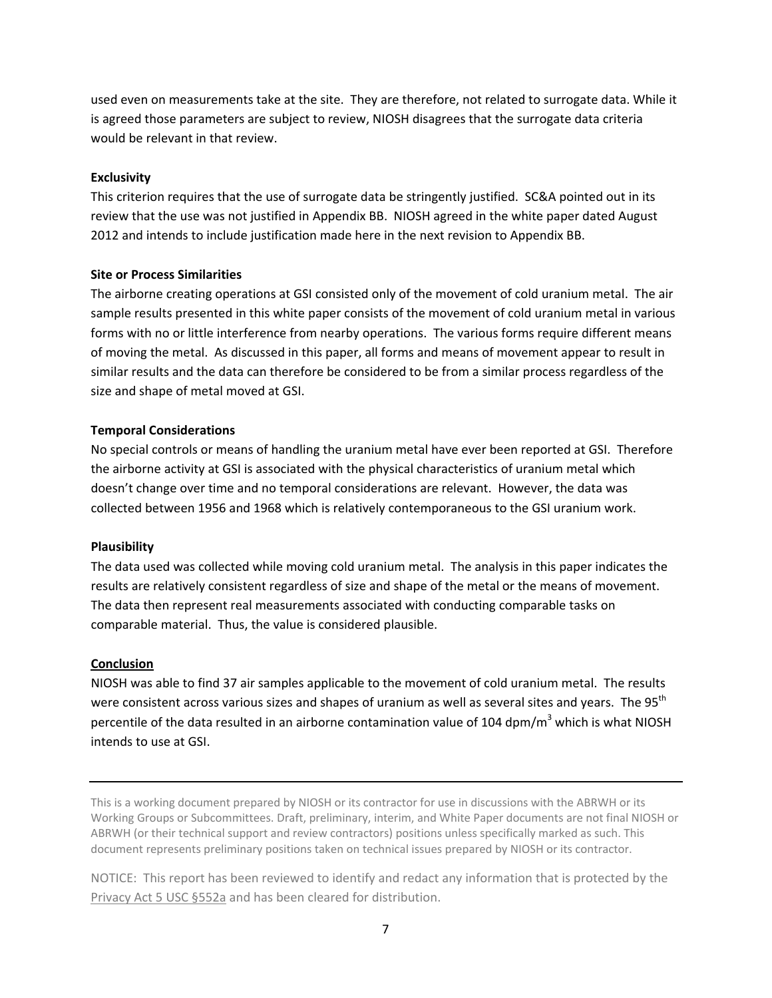used even on measurements take at the site. They are therefore, not related to surrogate data. While it is agreed those parameters are subject to review, NIOSH disagrees that the surrogate data criteria would be relevant in that review.

#### **Exclusivity**

 This criterion requires that the use of surrogate data be stringently justified. SC&A pointed out in its review that the use was not justified in Appendix BB. NIOSH agreed in the white paper dated August 2012 and intends to include justification made here in the next revision to Appendix BB.

### **Site or Process Similarities**

 The airborne creating operations at GSI consisted only of the movement of cold uranium metal. The air sample results presented in this white paper consists of the movement of cold uranium metal in various forms with no or little interference from nearby operations. The various forms require different means of moving the metal. As discussed in this paper, all forms and means of movement appear to result in similar results and the data can therefore be considered to be from a similar process regardless of the size and shape of metal moved at GSI.

#### **Temporal Considerations**

 No special controls or means of handling the uranium metal have ever been reported at GSI. Therefore the airborne activity at GSI is associated with the physical characteristics of uranium metal which doesn't change over time and no temporal considerations are relevant. However, the data was collected between 1956 and 1968 which is relatively contemporaneous to the GSI uranium work.

#### **Plausibility**

 The data used was collected while moving cold uranium metal. The analysis in this paper indicates the results are relatively consistent regardless of size and shape of the metal or the means of movement. The data then represent real measurements associated with conducting comparable tasks on comparable material. Thus, the value is considered plausible.

#### **Conclusion**

 NIOSH was able to find 37 air samples applicable to the movement of cold uranium metal. The results were consistent across various sizes and shapes of uranium as well as several sites and years. The 95<sup>th</sup> percentile of the data resulted in an airborne contamination value of 104 dpm/m<sup>3</sup> which is what NIOSH intends to use at GSI.

 This is a working document prepared by NIOSH or its contractor for use in discussions with the ABRWH or its Working Groups or Subcommittees. Draft, preliminary, interim, and White Paper documents are not final NIOSH or ABRWH (or their technical support and review contractors) positions unless specifically marked as such. This document represents preliminary positions taken on technical issues prepared by NIOSH or its contractor.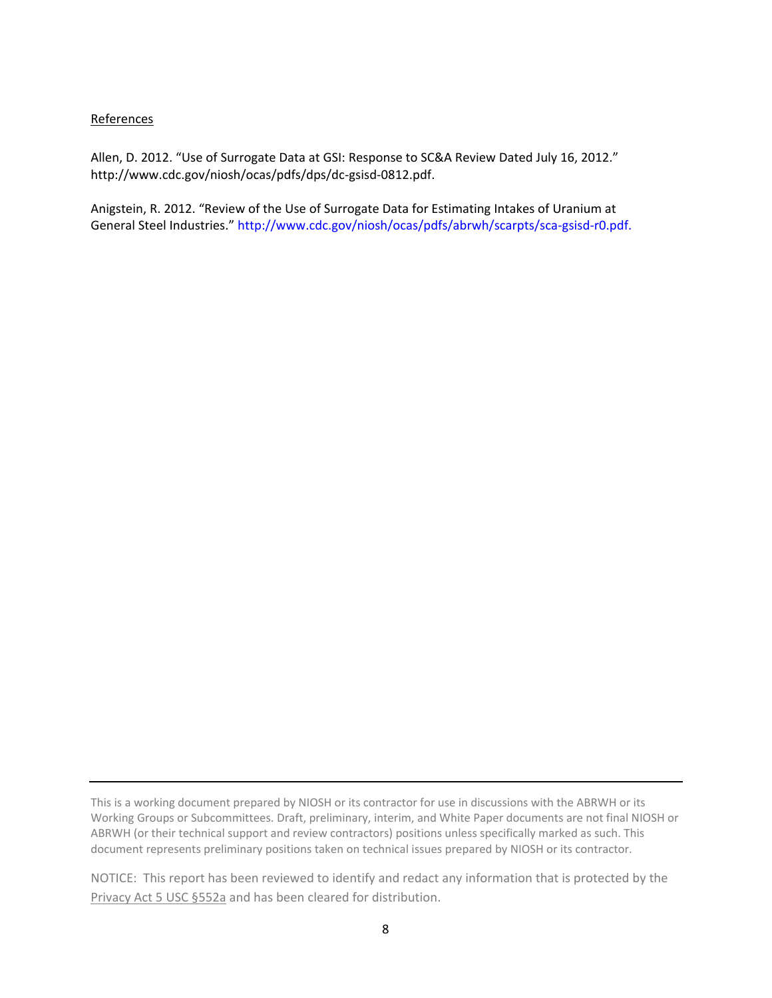### References

 Allen, D. 2012. "Use of Surrogate Data at GSI: Response to SC&A Review Dated July 16, 2012." http://www.cdc.gov/niosh/ocas/pdfs/dps/dc‐gsisd‐0812.pdf.

 Anigstein, R. 2012. "Review of the Use of Surrogate Data for Estimating Intakes of Uranium at General Steel Industries." http://www.cdc.gov/niosh/ocas/pdfs/abrwh/scarpts/sca-gsisd-r0.pdf.

 This is a working document prepared by NIOSH or its contractor for use in discussions with the ABRWH or its Working Groups or Subcommittees. Draft, preliminary, interim, and White Paper documents are not final NIOSH or ABRWH (or their technical support and review contractors) positions unless specifically marked as such. This document represents preliminary positions taken on technical issues prepared by NIOSH or its contractor.

 NOTICE: This report has been reviewed to identify and redact any information that is protected by the Privacy Act 5 USC §552a and has been cleared for distribution.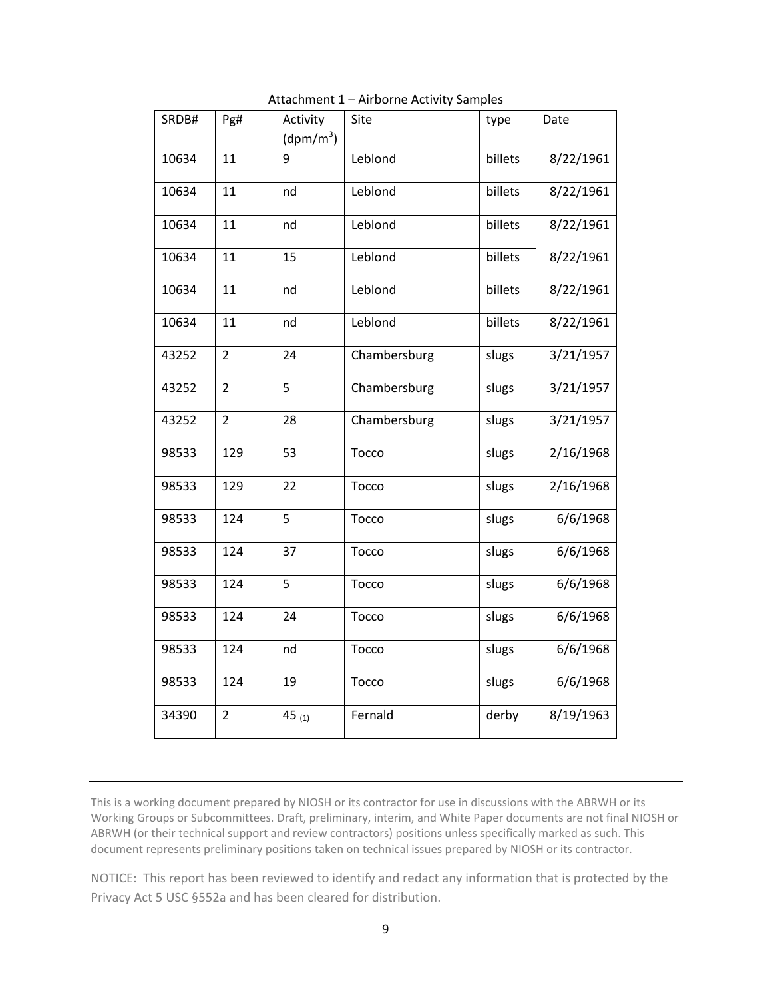| SRDB# | Pg#            | Activity              | Site         | type    | Date      |
|-------|----------------|-----------------------|--------------|---------|-----------|
|       |                | (dpm/m <sup>3</sup> ) |              |         |           |
| 10634 | 11             | 9                     | Leblond      | billets | 8/22/1961 |
| 10634 | 11             | nd                    | Leblond      | billets | 8/22/1961 |
| 10634 | 11             | nd                    | Leblond      | billets | 8/22/1961 |
| 10634 | 11             | 15                    | Leblond      | billets | 8/22/1961 |
| 10634 | 11             | nd                    | Leblond      | billets | 8/22/1961 |
| 10634 | 11             | nd                    | Leblond      | billets | 8/22/1961 |
| 43252 | $\overline{2}$ | 24                    | Chambersburg | slugs   | 3/21/1957 |
| 43252 | $\overline{2}$ | 5                     | Chambersburg | slugs   | 3/21/1957 |
| 43252 | $\overline{2}$ | 28                    | Chambersburg | slugs   | 3/21/1957 |
| 98533 | 129            | 53                    | Tocco        | slugs   | 2/16/1968 |
| 98533 | 129            | 22                    | Tocco        | slugs   | 2/16/1968 |
| 98533 | 124            | 5                     | Tocco        | slugs   | 6/6/1968  |
| 98533 | 124            | 37                    | Tocco        | slugs   | 6/6/1968  |
| 98533 | 124            | 5                     | Tocco        | slugs   | 6/6/1968  |
| 98533 | 124            | 24                    | Tocco        | slugs   | 6/6/1968  |
| 98533 | 124            | nd                    | Tocco        | slugs   | 6/6/1968  |
| 98533 | 124            | 19                    | Tocco        | slugs   | 6/6/1968  |
| 34390 | $\overline{2}$ | 45 (1)                | Fernald      | derby   | 8/19/1963 |

Attachment 1 – Airborne Activity Samples

 This is a working document prepared by NIOSH or its contractor for use in discussions with the ABRWH or its Working Groups or Subcommittees. Draft, preliminary, interim, and White Paper documents are not final NIOSH or ABRWH (or their technical support and review contractors) positions unless specifically marked as such. This document represents preliminary positions taken on technical issues prepared by NIOSH or its contractor.